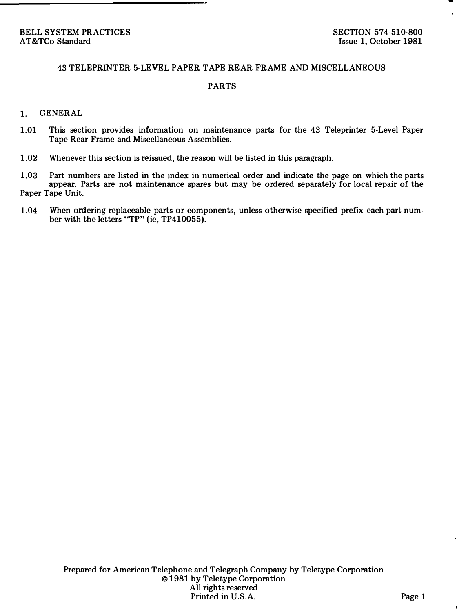### 43 TELEPRINTER 5-LEVEL PAPER TAPE REAR FRAME AND MISCELLANEOUS

#### PARTS

### 1. GENERAL

- 1.01 This section provides information on maintenance parts for the 43 Teleprinter 5-Level Paper Tape Rear Frame and Miscellaneous Assemblies.
- 1.02 Whenever this section is reissued, the reason will be listed in this paragraph.
- 1.03 Part numbers are listed in the index in numerical order and indicate the page on which the parts appear. Parts are not maintenance spares but may be ordered separately for local repair of the Paper Tape Unit.
- 1.04 When ordering replaceable parts or components, unless otherwise specified prefix each part number with the letters "TP" (ie, TP410055).